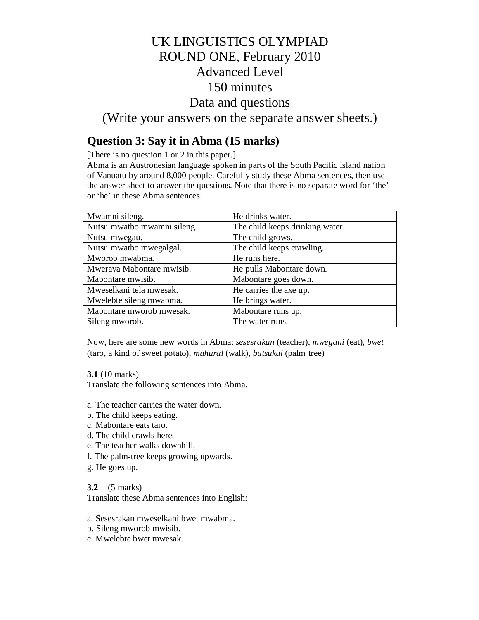# UK LINGUISTICS OLYMPIAD ROUND ONE, February 2010 Advanced Level 150 minutes Data and questions

(Write your answers on the separate answer sheets.)

## **Question 3: Say it in Abma (15 marks)**

[There is no question 1 or 2 in this paper.]

Abma is an Austronesian language spoken in parts of the South Pacific island nation of Vanuatu by around 8,000 people. Carefully study these Abma sentences, then use the answer sheet to answer the questions. Note that there is no separate word for 'the' or 'he' in these Abma sentences.

| Mwamni sileng.              | He drinks water.                |
|-----------------------------|---------------------------------|
| Nutsu mwatbo mwamni sileng. | The child keeps drinking water. |
| Nutsu mwegau.               | The child grows.                |
| Nutsu mwatbo mwegalgal.     | The child keeps crawling.       |
| Mworob mwabma.              | He runs here.                   |
| Mwerava Mabontare mwisib.   | He pulls Mabontare down.        |
| Mabontare mwisib.           | Mabontare goes down.            |
| Mweselkani tela mwesak.     | He carries the axe up.          |
| Mwelebte sileng mwabma.     | He brings water.                |
| Mabontare mworob mwesak.    | Mabontare runs up.              |
| Sileng mworob.              | The water runs.                 |

Now, here are some new words in Abma: *sesesrakan* (teacher), *mwegani* (eat), *bwet* (taro, a kind of sweet potato), *muhural* (walk), *butsukul* (palm‐tree)

**3.1** (10 marks)

Translate the following sentences into Abma.

- a. The teacher carries the water down.
- b. The child keeps eating.
- c. Mabontare eats taro.
- d. The child crawls here.
- e. The teacher walks downhill.
- f. The palm‐tree keeps growing upwards.
- g. He goes up.

**3.2** (5 marks)

Translate these Abma sentences into English:

- a. Sesesrakan mweselkani bwet mwabma.
- b. Sileng mworob mwisib.
- c. Mwelebte bwet mwesak.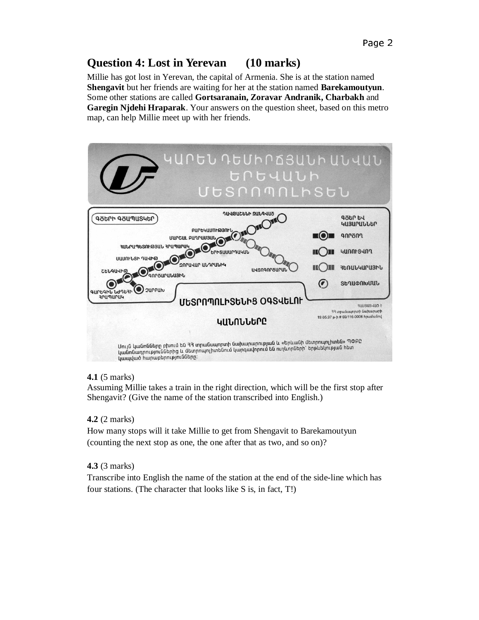## **Question 4: Lost in Yerevan (10 marks)**

Millie has got lost in Yerevan, the capital of Armenia. She is at the station named **Shengavit** but her friends are waiting for her at the station named **Barekamoutyun**. Some other stations are called **Gortsaranain, Zoravar Andranik, Charbakh** and **Garegin Njdehi Hraparak**. Your answers on the question sheet, based on this metro map, can help Millie meet up with her friends.



### **4.1** (5 marks)

Assuming Millie takes a train in the right direction, which will be the first stop after Shengavit? (Give the name of the station transcribed into English.)

### **4.2** (2 marks)

How many stops will it take Millie to get from Shengavit to Barekamoutyun (counting the next stop as one, the one after that as two, and so on)?

### **4.3** (3 marks)

Transcribe into English the name of the station at the end of the side-line which has four stations. (The character that looks like S is, in fact, T!)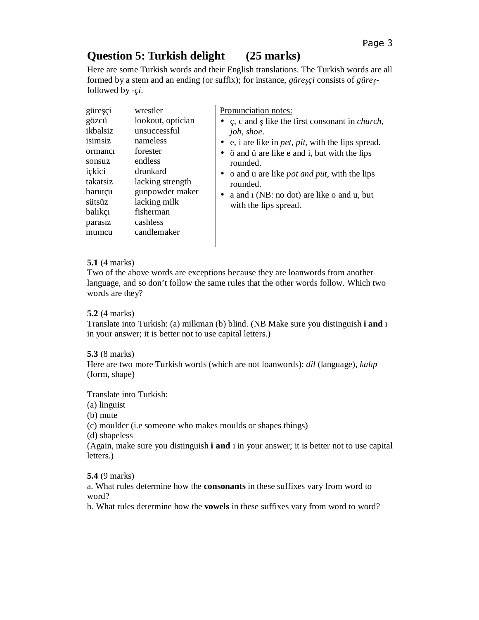## **Question 5: Turkish delight (25 marks)**

Here are some Turkish words and their English translations. The Turkish words are all formed by a stem and an ending (or suffix); for instance, *güreçi* consists of *güre* followed by -*çi*.

| wrestler<br>güreşçi<br>lookout, optician<br>gözcü<br>ikbalsiz<br>unsuccessful<br>isimsiz<br>nameless<br>forester<br>ormanci<br>endless<br>sonsuz<br>ickici<br>drunkard<br>takatsiz<br>lacking strength<br>gunpowder maker<br>barutçu<br>lacking milk<br>sütsüz<br>fisherman<br>balıkçı<br>cashless<br>parasiz<br>candlemaker<br>mumcu | Pronunciation notes:<br>• c, c and s like the first consonant in <i>church</i> ,<br>job, shoe.<br>• e, i are like in <i>pet</i> , <i>pit</i> , with the lips spread.<br>• ö and ü are like e and i, but with the lips<br>rounded.<br>• o and u are like <i>pot and put</i> , with the lips<br>rounded.<br>a and 1 (NB: no dot) are like o and u, but<br>with the lips spread. |
|---------------------------------------------------------------------------------------------------------------------------------------------------------------------------------------------------------------------------------------------------------------------------------------------------------------------------------------|-------------------------------------------------------------------------------------------------------------------------------------------------------------------------------------------------------------------------------------------------------------------------------------------------------------------------------------------------------------------------------|
|---------------------------------------------------------------------------------------------------------------------------------------------------------------------------------------------------------------------------------------------------------------------------------------------------------------------------------------|-------------------------------------------------------------------------------------------------------------------------------------------------------------------------------------------------------------------------------------------------------------------------------------------------------------------------------------------------------------------------------|

### **5.1** (4 marks)

Two of the above words are exceptions because they are loanwords from another language, and so don't follow the same rules that the other words follow. Which two words are they?

### **5.2** (4 marks)

Translate into Turkish: (a) milkman (b) blind. (NB Make sure you distinguish **i and** ı in your answer; it is better not to use capital letters.)

### **5.3** (8 marks)

Here are two more Turkish words (which are not loanwords): *dil* (language), *kalıp* (form, shape)

Translate into Turkish:

(a) linguist

(b) mute

(c) moulder (i.e someone who makes moulds or shapes things)

(d) shapeless

(Again, make sure you distinguish **i and** ı in your answer; it is better not to use capital letters.)

**5.4** (9 marks)

a. What rules determine how the **consonants** in these suffixes vary from word to word?

b. What rules determine how the **vowels** in these suffixes vary from word to word?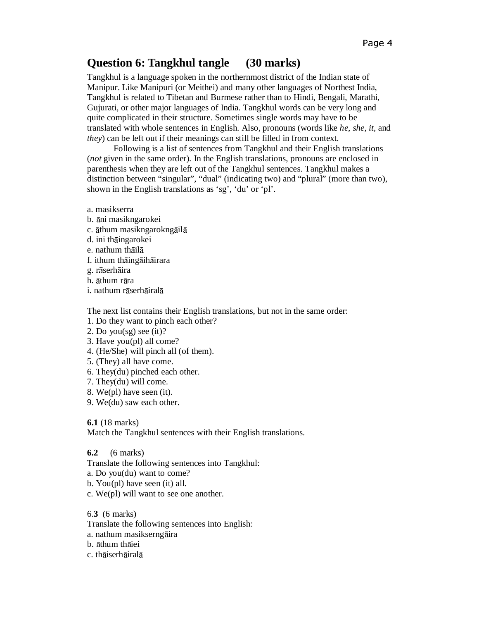## **Question 6: Tangkhul tangle (30 marks)**

Tangkhul is a language spoken in the northernmost district of the Indian state of Manipur. Like Manipuri (or Meithei) and many other languages of Northest India, Tangkhul is related to Tibetan and Burmese rather than to Hindi, Bengali, Marathi, Gujurati, or other major languages of India. Tangkhul words can be very long and quite complicated in their structure. Sometimes single words may have to be translated with whole sentences in English. Also, pronouns (words like *he*, *she*, *it*, and *they*) can be left out if their meanings can still be filled in from context.

 Following is a list of sentences from Tangkhul and their English translations (*not* given in the same order). In the English translations, pronouns are enclosed in parenthesis when they are left out of the Tangkhul sentences. Tangkhul makes a distinction between "singular", "dual" (indicating two) and "plural" (more than two), shown in the English translations as 'sg', 'du' or 'pl'.

- a. masikserra
- b. āni masikngarokei
- c. āthum masikngarokngāilā
- d. ini thāingarokei
- e. nathum thāilā
- f. ithum thāingāihāirara
- g. rāserhāira
- h. āthum rāra
- i. nathum rāserhāiralā

The next list contains their English translations, but not in the same order:

1. Do they want to pinch each other?

- 2. Do you(sg) see (it)?
- 3. Have you(pl) all come?
- 4. (He/She) will pinch all (of them).
- 5. (They) all have come.
- 6. They(du) pinched each other.
- 7. They(du) will come.
- 8. We(pl) have seen (it).
- 9. We(du) saw each other.

**6.1** (18 marks)

Match the Tangkhul sentences with their English translations.

**6.2** (6 marks)

Translate the following sentences into Tangkhul:

- a. Do you(du) want to come?
- b. You(pl) have seen (it) all.
- c. We(pl) will want to see one another.

6.**3** (6 marks)

Translate the following sentences into English:

- a. nathum masikserngāira
- b. āthum thāiei
- c. thāiserhāiralā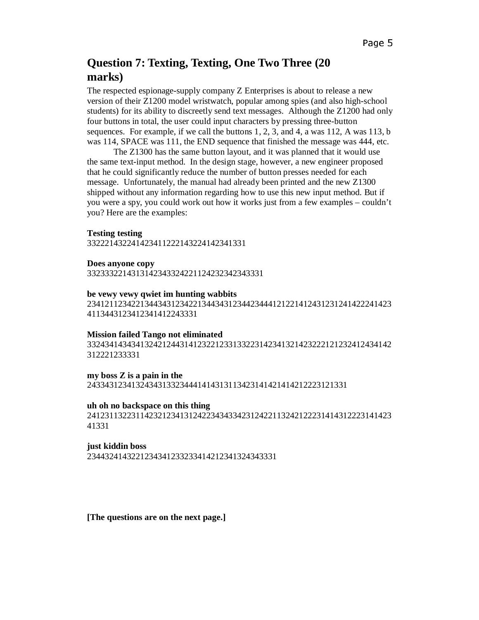## **Question 7: Texting, Texting, One Two Three (20 marks)**

The respected espionage-supply company Z Enterprises is about to release a new version of their Z1200 model wristwatch, popular among spies (and also high-school students) for its ability to discreetly send text messages. Although the Z1200 had only four buttons in total, the user could input characters by pressing three-button sequences. For example, if we call the buttons  $1, 2, 3$ , and  $4$ , a was  $112$ , A was  $113$ , b was 114, SPACE was 111, the END sequence that finished the message was 444, etc.

 The Z1300 has the same button layout, and it was planned that it would use the same text-input method. In the design stage, however, a new engineer proposed that he could significantly reduce the number of button presses needed for each message. Unfortunately, the manual had already been printed and the new Z1300 shipped without any information regarding how to use this new input method. But if you were a spy, you could work out how it works just from a few examples – couldn't you? Here are the examples:

### **Testing testing**

332221432241423411222143224142341331

**Does anyone copy**  3323332214313142343324221124232342343331

### **be vewy vewy qwiet im hunting wabbits**

234121123422134434312342213443431234423444121221412431231241422241423 4113443123412341412243331

### **Mission failed Tango not eliminated**

332434143434132421244314123221233133223142341321423222121232412434142 312221233331

### **my boss Z is a pain in the**

24334312341324343133234441414313113423141421414212223121331

### **uh oh no backspace on this thing**

241231132231142321234131242234343342312422113242122231414312223141423 41331

### **just kiddin boss**

2344324143221234341233233414212341324343331